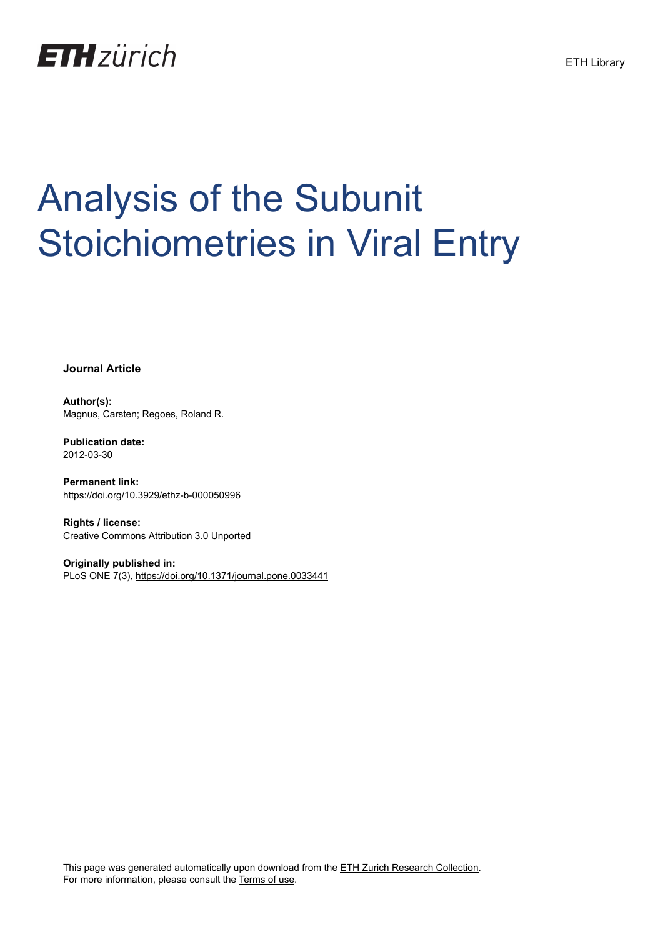

# Analysis of the Subunit Stoichiometries in Viral Entry

**Journal Article**

**Author(s):** Magnus, Carsten; Regoes, Roland R.

**Publication date:** 2012-03-30

**Permanent link:** <https://doi.org/10.3929/ethz-b-000050996>

**Rights / license:** [Creative Commons Attribution 3.0 Unported](http://creativecommons.org/licenses/by/3.0/)

**Originally published in:** PLoS ONE 7(3), <https://doi.org/10.1371/journal.pone.0033441>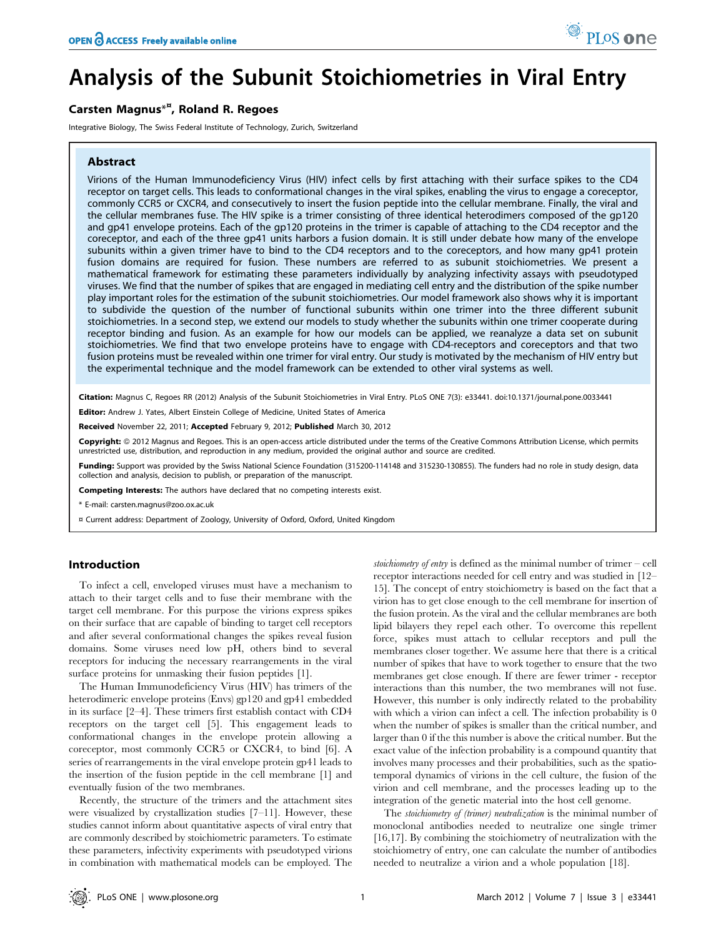# Analysis of the Subunit Stoichiometries in Viral Entry

## Carsten Magnus<sup>\*¤</sup>, Roland R. Regoes

Integrative Biology, The Swiss Federal Institute of Technology, Zurich, Switzerland

#### Abstract

Virions of the Human Immunodeficiency Virus (HIV) infect cells by first attaching with their surface spikes to the CD4 receptor on target cells. This leads to conformational changes in the viral spikes, enabling the virus to engage a coreceptor, commonly CCR5 or CXCR4, and consecutively to insert the fusion peptide into the cellular membrane. Finally, the viral and the cellular membranes fuse. The HIV spike is a trimer consisting of three identical heterodimers composed of the gp120 and gp41 envelope proteins. Each of the gp120 proteins in the trimer is capable of attaching to the CD4 receptor and the coreceptor, and each of the three gp41 units harbors a fusion domain. It is still under debate how many of the envelope subunits within a given trimer have to bind to the CD4 receptors and to the coreceptors, and how many gp41 protein fusion domains are required for fusion. These numbers are referred to as subunit stoichiometries. We present a mathematical framework for estimating these parameters individually by analyzing infectivity assays with pseudotyped viruses. We find that the number of spikes that are engaged in mediating cell entry and the distribution of the spike number play important roles for the estimation of the subunit stoichiometries. Our model framework also shows why it is important to subdivide the question of the number of functional subunits within one trimer into the three different subunit stoichiometries. In a second step, we extend our models to study whether the subunits within one trimer cooperate during receptor binding and fusion. As an example for how our models can be applied, we reanalyze a data set on subunit stoichiometries. We find that two envelope proteins have to engage with CD4-receptors and coreceptors and that two fusion proteins must be revealed within one trimer for viral entry. Our study is motivated by the mechanism of HIV entry but the experimental technique and the model framework can be extended to other viral systems as well.

Citation: Magnus C, Regoes RR (2012) Analysis of the Subunit Stoichiometries in Viral Entry. PLoS ONE 7(3): e33441. doi:10.1371/journal.pone.0033441 Editor: Andrew J. Yates, Albert Einstein College of Medicine, United States of America

Received November 22, 2011; Accepted February 9, 2012; Published March 30, 2012

Copyright: © 2012 Magnus and Regoes. This is an open-access article distributed under the terms of the Creative Commons Attribution License, which permits unrestricted use, distribution, and reproduction in any medium, provided the original author and source are credited.

Funding: Support was provided by the Swiss National Science Foundation (315200-114148 and 315230-130855). The funders had no role in study design, data collection and analysis, decision to publish, or preparation of the manuscript.

Competing Interests: The authors have declared that no competing interests exist.

\* E-mail: carsten.magnus@zoo.ox.ac.uk

¤ Current address: Department of Zoology, University of Oxford, Oxford, United Kingdom

#### Introduction

To infect a cell, enveloped viruses must have a mechanism to attach to their target cells and to fuse their membrane with the target cell membrane. For this purpose the virions express spikes on their surface that are capable of binding to target cell receptors and after several conformational changes the spikes reveal fusion domains. Some viruses need low pH, others bind to several receptors for inducing the necessary rearrangements in the viral surface proteins for unmasking their fusion peptides [1].

The Human Immunodeficiency Virus (HIV) has trimers of the heterodimeric envelope proteins (Envs) gp120 and gp41 embedded in its surface [2–4]. These trimers first establish contact with CD4 receptors on the target cell [5]. This engagement leads to conformational changes in the envelope protein allowing a coreceptor, most commonly CCR5 or CXCR4, to bind [6]. A series of rearrangements in the viral envelope protein gp41 leads to the insertion of the fusion peptide in the cell membrane [1] and eventually fusion of the two membranes.

Recently, the structure of the trimers and the attachment sites were visualized by crystallization studies [7–11]. However, these studies cannot inform about quantitative aspects of viral entry that are commonly described by stoichiometric parameters. To estimate these parameters, infectivity experiments with pseudotyped virions in combination with mathematical models can be employed. The stoichiometry of entry is defined as the minimal number of trimer  $-$  cell receptor interactions needed for cell entry and was studied in [12– 15]. The concept of entry stoichiometry is based on the fact that a virion has to get close enough to the cell membrane for insertion of the fusion protein. As the viral and the cellular membranes are both lipid bilayers they repel each other. To overcome this repellent force, spikes must attach to cellular receptors and pull the membranes closer together. We assume here that there is a critical number of spikes that have to work together to ensure that the two membranes get close enough. If there are fewer trimer - receptor interactions than this number, the two membranes will not fuse. However, this number is only indirectly related to the probability with which a virion can infect a cell. The infection probability is 0 when the number of spikes is smaller than the critical number, and larger than 0 if the this number is above the critical number. But the exact value of the infection probability is a compound quantity that involves many processes and their probabilities, such as the spatiotemporal dynamics of virions in the cell culture, the fusion of the virion and cell membrane, and the processes leading up to the integration of the genetic material into the host cell genome.

The stoichiometry of (trimer) neutralization is the minimal number of monoclonal antibodies needed to neutralize one single trimer [16,17]. By combining the stoichiometry of neutralization with the stoichiometry of entry, one can calculate the number of antibodies needed to neutralize a virion and a whole population [18].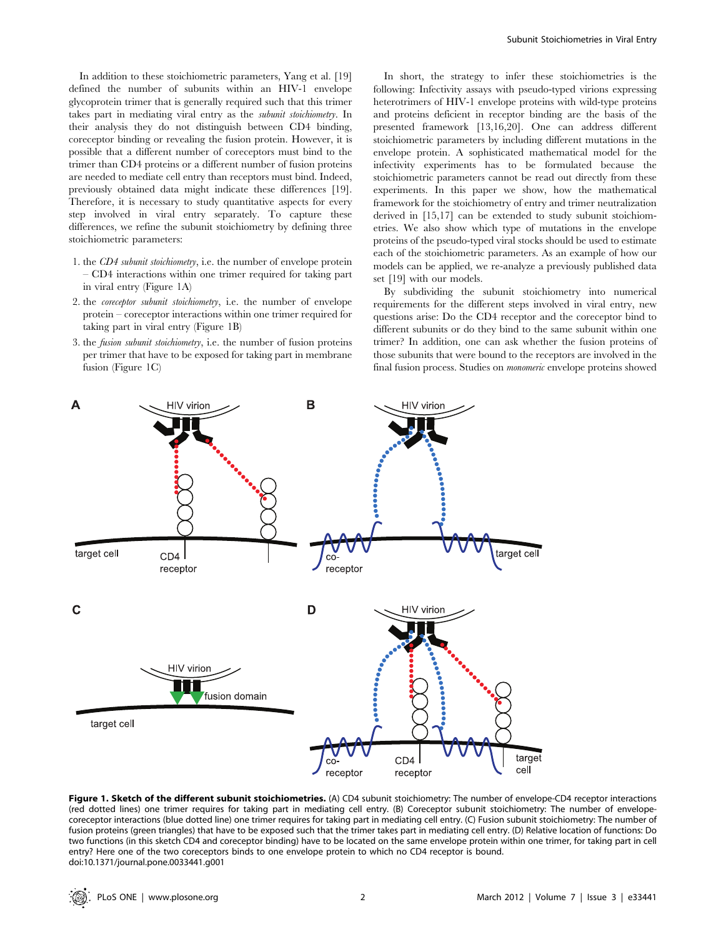In addition to these stoichiometric parameters, Yang et al. [19] defined the number of subunits within an HIV-1 envelope glycoprotein trimer that is generally required such that this trimer takes part in mediating viral entry as the subunit stoichiometry. In their analysis they do not distinguish between CD4 binding, coreceptor binding or revealing the fusion protein. However, it is possible that a different number of coreceptors must bind to the trimer than CD4 proteins or a different number of fusion proteins are needed to mediate cell entry than receptors must bind. Indeed, previously obtained data might indicate these differences [19]. Therefore, it is necessary to study quantitative aspects for every step involved in viral entry separately. To capture these differences, we refine the subunit stoichiometry by defining three stoichiometric parameters:

- 1. the CD4 subunit stoichiometry, i.e. the number of envelope protein – CD4 interactions within one trimer required for taking part in viral entry (Figure 1A)
- 2. the coreceptor subunit stoichiometry, i.e. the number of envelope protein – coreceptor interactions within one trimer required for taking part in viral entry (Figure 1B)
- 3. the fusion subunit stoichiometry, i.e. the number of fusion proteins per trimer that have to be exposed for taking part in membrane fusion (Figure 1C)

In short, the strategy to infer these stoichiometries is the following: Infectivity assays with pseudo-typed virions expressing heterotrimers of HIV-1 envelope proteins with wild-type proteins and proteins deficient in receptor binding are the basis of the presented framework [13,16,20]. One can address different stoichiometric parameters by including different mutations in the envelope protein. A sophisticated mathematical model for the infectivity experiments has to be formulated because the stoichiometric parameters cannot be read out directly from these experiments. In this paper we show, how the mathematical framework for the stoichiometry of entry and trimer neutralization derived in [15,17] can be extended to study subunit stoichiometries. We also show which type of mutations in the envelope proteins of the pseudo-typed viral stocks should be used to estimate each of the stoichiometric parameters. As an example of how our models can be applied, we re-analyze a previously published data set [19] with our models.

By subdividing the subunit stoichiometry into numerical requirements for the different steps involved in viral entry, new questions arise: Do the CD4 receptor and the coreceptor bind to different subunits or do they bind to the same subunit within one trimer? In addition, one can ask whether the fusion proteins of those subunits that were bound to the receptors are involved in the final fusion process. Studies on monomeric envelope proteins showed



Figure 1. Sketch of the different subunit stoichiometries. (A) CD4 subunit stoichiometry: The number of envelope-CD4 receptor interactions (red dotted lines) one trimer requires for taking part in mediating cell entry. (B) Coreceptor subunit stoichiometry: The number of envelopecoreceptor interactions (blue dotted line) one trimer requires for taking part in mediating cell entry. (C) Fusion subunit stoichiometry: The number of fusion proteins (green triangles) that have to be exposed such that the trimer takes part in mediating cell entry. (D) Relative location of functions: Do two functions (in this sketch CD4 and coreceptor binding) have to be located on the same envelope protein within one trimer, for taking part in cell entry? Here one of the two coreceptors binds to one envelope protein to which no CD4 receptor is bound. doi:10.1371/journal.pone.0033441.g001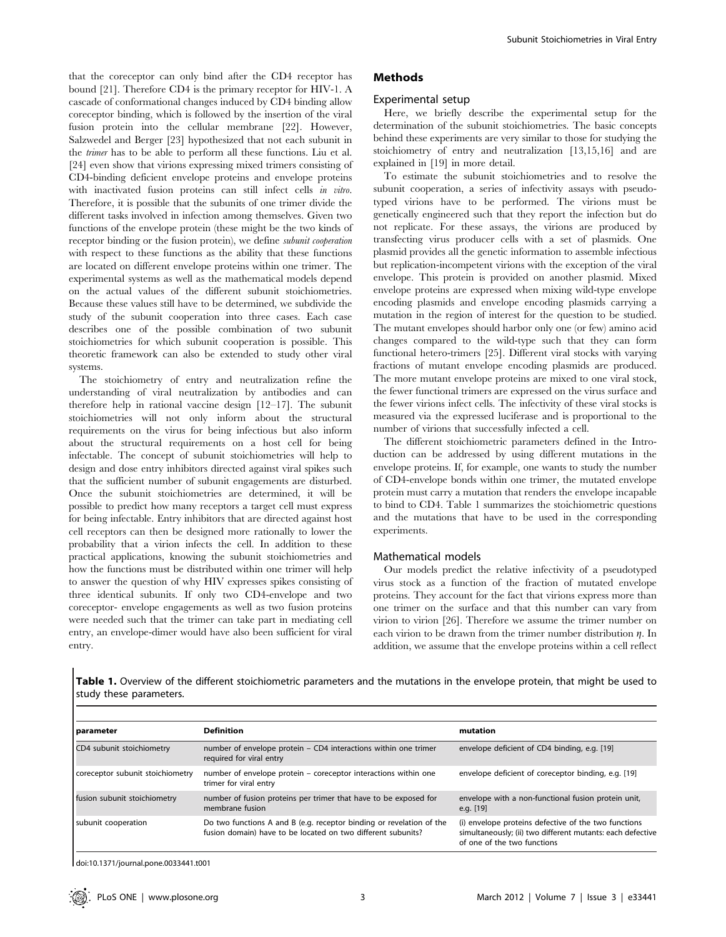that the coreceptor can only bind after the CD4 receptor has bound [21]. Therefore CD4 is the primary receptor for HIV-1. A cascade of conformational changes induced by CD4 binding allow coreceptor binding, which is followed by the insertion of the viral fusion protein into the cellular membrane [22]. However, Salzwedel and Berger [23] hypothesized that not each subunit in the trimer has to be able to perform all these functions. Liu et al. [24] even show that virions expressing mixed trimers consisting of CD4-binding deficient envelope proteins and envelope proteins with inactivated fusion proteins can still infect cells in vitro. Therefore, it is possible that the subunits of one trimer divide the different tasks involved in infection among themselves. Given two functions of the envelope protein (these might be the two kinds of receptor binding or the fusion protein), we define subunit cooperation with respect to these functions as the ability that these functions are located on different envelope proteins within one trimer. The experimental systems as well as the mathematical models depend on the actual values of the different subunit stoichiometries. Because these values still have to be determined, we subdivide the study of the subunit cooperation into three cases. Each case describes one of the possible combination of two subunit stoichiometries for which subunit cooperation is possible. This theoretic framework can also be extended to study other viral systems.

The stoichiometry of entry and neutralization refine the understanding of viral neutralization by antibodies and can therefore help in rational vaccine design [12–17]. The subunit stoichiometries will not only inform about the structural requirements on the virus for being infectious but also inform about the structural requirements on a host cell for being infectable. The concept of subunit stoichiometries will help to design and dose entry inhibitors directed against viral spikes such that the sufficient number of subunit engagements are disturbed. Once the subunit stoichiometries are determined, it will be possible to predict how many receptors a target cell must express for being infectable. Entry inhibitors that are directed against host cell receptors can then be designed more rationally to lower the probability that a virion infects the cell. In addition to these practical applications, knowing the subunit stoichiometries and how the functions must be distributed within one trimer will help to answer the question of why HIV expresses spikes consisting of three identical subunits. If only two CD4-envelope and two coreceptor- envelope engagements as well as two fusion proteins were needed such that the trimer can take part in mediating cell entry, an envelope-dimer would have also been sufficient for viral entry.

### Methods

#### Experimental setup

Here, we briefly describe the experimental setup for the determination of the subunit stoichiometries. The basic concepts behind these experiments are very similar to those for studying the stoichiometry of entry and neutralization [13,15,16] and are explained in [19] in more detail.

To estimate the subunit stoichiometries and to resolve the subunit cooperation, a series of infectivity assays with pseudotyped virions have to be performed. The virions must be genetically engineered such that they report the infection but do not replicate. For these assays, the virions are produced by transfecting virus producer cells with a set of plasmids. One plasmid provides all the genetic information to assemble infectious but replication-incompetent virions with the exception of the viral envelope. This protein is provided on another plasmid. Mixed envelope proteins are expressed when mixing wild-type envelope encoding plasmids and envelope encoding plasmids carrying a mutation in the region of interest for the question to be studied. The mutant envelopes should harbor only one (or few) amino acid changes compared to the wild-type such that they can form functional hetero-trimers [25]. Different viral stocks with varying fractions of mutant envelope encoding plasmids are produced. The more mutant envelope proteins are mixed to one viral stock, the fewer functional trimers are expressed on the virus surface and the fewer virions infect cells. The infectivity of these viral stocks is measured via the expressed luciferase and is proportional to the number of virions that successfully infected a cell.

The different stoichiometric parameters defined in the Introduction can be addressed by using different mutations in the envelope proteins. If, for example, one wants to study the number of CD4-envelope bonds within one trimer, the mutated envelope protein must carry a mutation that renders the envelope incapable to bind to CD4. Table 1 summarizes the stoichiometric questions and the mutations that have to be used in the corresponding experiments.

#### Mathematical models

Our models predict the relative infectivity of a pseudotyped virus stock as a function of the fraction of mutated envelope proteins. They account for the fact that virions express more than one trimer on the surface and that this number can vary from virion to virion [26]. Therefore we assume the trimer number on each virion to be drawn from the trimer number distribution  $\eta$ . In addition, we assume that the envelope proteins within a cell reflect

Table 1. Overview of the different stoichiometric parameters and the mutations in the envelope protein, that might be used to study these parameters.

| parameter                        | <b>Definition</b>                                                                                                                    | mutation                                                                                                                                          |
|----------------------------------|--------------------------------------------------------------------------------------------------------------------------------------|---------------------------------------------------------------------------------------------------------------------------------------------------|
| CD4 subunit stoichiometry        | number of envelope protein - CD4 interactions within one trimer<br>required for viral entry                                          | envelope deficient of CD4 binding, e.g. [19]                                                                                                      |
| coreceptor subunit stoichiometry | number of envelope protein – coreceptor interactions within one<br>trimer for viral entry                                            | envelope deficient of coreceptor binding, e.g. [19]                                                                                               |
| fusion subunit stoichiometry     | number of fusion proteins per trimer that have to be exposed for<br>membrane fusion                                                  | envelope with a non-functional fusion protein unit,<br>e.g. $[19]$                                                                                |
| subunit cooperation              | Do two functions A and B (e.g. receptor binding or revelation of the<br>fusion domain) have to be located on two different subunits? | (i) envelope proteins defective of the two functions<br>simultaneously; (ii) two different mutants: each defective<br>of one of the two functions |

doi:10.1371/journal.pone.0033441.t001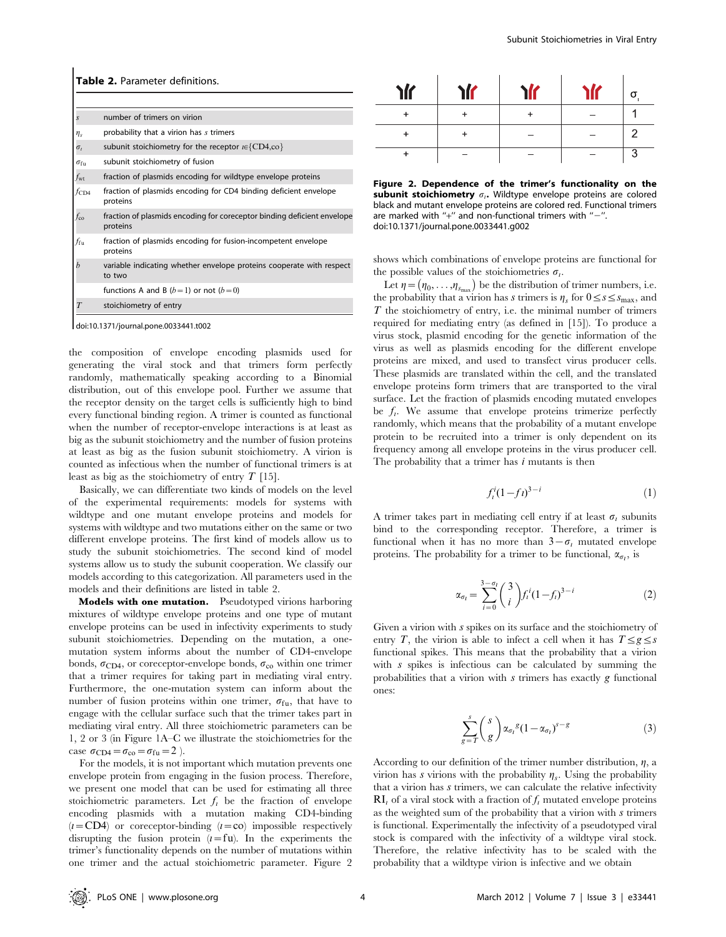|                   | <b>Table 2.</b> Parameter definitions.                                              |  |  |  |  |
|-------------------|-------------------------------------------------------------------------------------|--|--|--|--|
|                   |                                                                                     |  |  |  |  |
| S                 | number of trimers on virion                                                         |  |  |  |  |
| $\eta_s$          | probability that a virion has s trimers                                             |  |  |  |  |
| $\sigma_i$        | subunit stoichiometry for the receptor $i \in \{CD4, c0\}$                          |  |  |  |  |
| $\sigma_{\rm fu}$ | subunit stoichiometry of fusion                                                     |  |  |  |  |
| $f_{\rm wt}$      | fraction of plasmids encoding for wildtype envelope proteins                        |  |  |  |  |
| fcd4              | fraction of plasmids encoding for CD4 binding deficient envelope<br>proteins        |  |  |  |  |
| $f_{\rm co}$      | fraction of plasmids encoding for coreceptor binding deficient envelope<br>proteins |  |  |  |  |
| ffu               | fraction of plasmids encoding for fusion-incompetent envelope<br>proteins           |  |  |  |  |
| b                 | variable indicating whether envelope proteins cooperate with respect<br>to two      |  |  |  |  |
|                   | functions A and B $(b=1)$ or not $(b=0)$                                            |  |  |  |  |
|                   | stoichiometry of entry                                                              |  |  |  |  |

doi:10.1371/journal.pone.0033441.t002

the composition of envelope encoding plasmids used for generating the viral stock and that trimers form perfectly randomly, mathematically speaking according to a Binomial distribution, out of this envelope pool. Further we assume that the receptor density on the target cells is sufficiently high to bind every functional binding region. A trimer is counted as functional when the number of receptor-envelope interactions is at least as big as the subunit stoichiometry and the number of fusion proteins at least as big as the fusion subunit stoichiometry. A virion is counted as infectious when the number of functional trimers is at least as big as the stoichiometry of entry  $T$  [15].

Basically, we can differentiate two kinds of models on the level of the experimental requirements: models for systems with wildtype and one mutant envelope proteins and models for systems with wildtype and two mutations either on the same or two different envelope proteins. The first kind of models allow us to study the subunit stoichiometries. The second kind of model systems allow us to study the subunit cooperation. We classify our models according to this categorization. All parameters used in the models and their definitions are listed in table 2.

Models with one mutation. Pseudotyped virions harboring mixtures of wildtype envelope proteins and one type of mutant envelope proteins can be used in infectivity experiments to study subunit stoichiometries. Depending on the mutation, a onemutation system informs about the number of CD4-envelope bonds,  $\sigma_{CD4}$ , or coreceptor-envelope bonds,  $\sigma_{co}$  within one trimer that a trimer requires for taking part in mediating viral entry. Furthermore, the one-mutation system can inform about the number of fusion proteins within one trimer,  $\sigma_{\text{fu}}$ , that have to engage with the cellular surface such that the trimer takes part in mediating viral entry. All three stoichiometric parameters can be 1, 2 or 3 (in Figure 1A–C we illustrate the stoichiometries for the case  $\sigma_{CD4} = \sigma_{co} = \sigma_{fu} = 2$ .

For the models, it is not important which mutation prevents one envelope protein from engaging in the fusion process. Therefore, we present one model that can be used for estimating all three stoichiometric parameters. Let  $f_i$  be the fraction of envelope encoding plasmids with a mutation making CD4-binding  $(i=CD4)$  or coreceptor-binding  $(i=co)$  impossible respectively disrupting the fusion protein  $(i=f\mathfrak{u})$ . In the experiments the trimer's functionality depends on the number of mutations within one trimer and the actual stoichiometric parameter. Figure 2

| <b>ir</b> | <b>ir</b> |  | $\sigma$ |
|-----------|-----------|--|----------|
|           |           |  |          |
| +         |           |  | 2        |
|           |           |  | ാ        |

Figure 2. Dependence of the trimer's functionality on the subunit stoichiometry  $\sigma_i$ . Wildtype envelope proteins are colored black and mutant envelope proteins are colored red. Functional trimers are marked with "+" and non-functional trimers with " $-$ ". doi:10.1371/journal.pone.0033441.g002

shows which combinations of envelope proteins are functional for the possible values of the stoichiometries  $\sigma_i$ .

Let  $\eta = (\eta_0, \dots, \eta_{s_{\text{max}}})$  be the distribution of trimer numbers, i.e. the probability that a virion has s trimers is  $\eta_s$  for  $0 \leq s \leq s_{\text{max}}$ , and  $T$  the stoichiometry of entry, i.e. the minimal number of trimers required for mediating entry (as defined in [15]). To produce a virus stock, plasmid encoding for the genetic information of the virus as well as plasmids encoding for the different envelope proteins are mixed, and used to transfect virus producer cells. These plasmids are translated within the cell, and the translated envelope proteins form trimers that are transported to the viral surface. Let the fraction of plasmids encoding mutated envelopes be  $f_i$ . We assume that envelope proteins trimerize perfectly randomly, which means that the probability of a mutant envelope protein to be recruited into a trimer is only dependent on its frequency among all envelope proteins in the virus producer cell. The probability that a trimer has  $i$  mutants is then

$$
f_i^i (1 - ft)^{3 - i} \tag{1}
$$

A trimer takes part in mediating cell entry if at least  $\sigma_i$  subunits bind to the corresponding receptor. Therefore, a trimer is functional when it has no more than  $3-\sigma_i$  mutated envelope proteins. The probability for a trimer to be functional,  $\alpha_{\sigma_l}$ , is

$$
\alpha_{\sigma_l} = \sum_{i=0}^{3-\sigma_l} {3 \choose i} f_i^i (1-f_i)^{3-i} \tag{2}
$$

Given a virion with s spikes on its surface and the stoichiometry of entry T, the virion is able to infect a cell when it has  $T \le g \le s$ functional spikes. This means that the probability that a virion with s spikes is infectious can be calculated by summing the probabilities that a virion with  $s$  trimers has exactly  $g$  functional ones:

$$
\sum_{g=T}^{s} {s \choose g} \alpha_{\sigma_l}{}^g (1 - \alpha_{\sigma_l})^{s-g} \tag{3}
$$

According to our definition of the trimer number distribution,  $\eta$ , a virion has s virions with the probability  $\eta_s$ . Using the probability that a virion has  $s$  trimers, we can calculate the relative infectivity  $\mathbf{R}$ <sub>I</sub> of a viral stock with a fraction of  $f_i$  mutated envelope proteins as the weighted sum of the probability that a virion with  $s$  trimers is functional. Experimentally the infectivity of a pseudotyped viral stock is compared with the infectivity of a wildtype viral stock. Therefore, the relative infectivity has to be scaled with the probability that a wildtype virion is infective and we obtain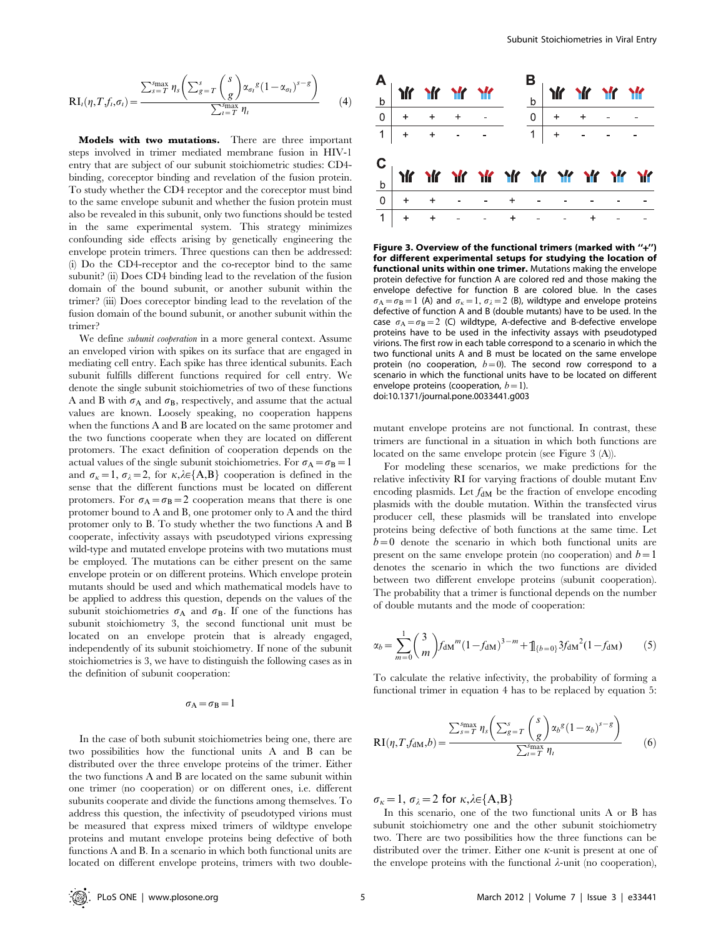$$
RI_{l}(\eta, T, f_{l}, \sigma_{l}) = \frac{\sum_{s=T}^{s_{\max}} \eta_{s} \left( \sum_{g=T}^{s} \binom{s}{g} \alpha_{\sigma_{l}}^{g} (1 - \alpha_{\sigma_{l}})^{s-g} \right)}{\sum_{i=T}^{s_{\max}} \eta_{i}} \qquad (4)
$$

Models with two mutations. There are three important steps involved in trimer mediated membrane fusion in HIV-1 entry that are subject of our subunit stoichiometric studies: CD4 binding, coreceptor binding and revelation of the fusion protein. To study whether the CD4 receptor and the coreceptor must bind to the same envelope subunit and whether the fusion protein must also be revealed in this subunit, only two functions should be tested in the same experimental system. This strategy minimizes confounding side effects arising by genetically engineering the envelope protein trimers. Three questions can then be addressed: (i) Do the CD4-receptor and the co-receptor bind to the same subunit? (ii) Does CD4 binding lead to the revelation of the fusion domain of the bound subunit, or another subunit within the trimer? (iii) Does coreceptor binding lead to the revelation of the fusion domain of the bound subunit, or another subunit within the trimer?

We define subunit cooperation in a more general context. Assume an enveloped virion with spikes on its surface that are engaged in mediating cell entry. Each spike has three identical subunits. Each subunit fulfills different functions required for cell entry. We denote the single subunit stoichiometries of two of these functions A and B with  $\sigma_A$  and  $\sigma_B$ , respectively, and assume that the actual values are known. Loosely speaking, no cooperation happens when the functions A and B are located on the same protomer and the two functions cooperate when they are located on different protomers. The exact definition of cooperation depends on the actual values of the single subunit stoichiometries. For  $\sigma_A = \sigma_B = 1$ and  $\sigma_k=1$ ,  $\sigma_k=2$ , for  $\kappa,\lambda\in\{A,B\}$  cooperation is defined in the sense that the different functions must be located on different protomers. For  $\sigma_A = \sigma_B = 2$  cooperation means that there is one protomer bound to A and B, one protomer only to A and the third protomer only to B. To study whether the two functions A and B cooperate, infectivity assays with pseudotyped virions expressing wild-type and mutated envelope proteins with two mutations must be employed. The mutations can be either present on the same envelope protein or on different proteins. Which envelope protein mutants should be used and which mathematical models have to be applied to address this question, depends on the values of the subunit stoichiometries  $\sigma_A$  and  $\sigma_B$ . If one of the functions has subunit stoichiometry 3, the second functional unit must be located on an envelope protein that is already engaged, independently of its subunit stoichiometry. If none of the subunit stoichiometries is 3, we have to distinguish the following cases as in the definition of subunit cooperation:

#### $\sigma_A=\sigma_B=1$

In the case of both subunit stoichiometries being one, there are two possibilities how the functional units A and B can be distributed over the three envelope proteins of the trimer. Either the two functions A and B are located on the same subunit within one trimer (no cooperation) or on different ones, i.e. different subunits cooperate and divide the functions among themselves. To address this question, the infectivity of pseudotyped virions must be measured that express mixed trimers of wildtype envelope proteins and mutant envelope proteins being defective of both functions A and B. In a scenario in which both functional units are located on different envelope proteins, trimers with two double-



Figure 3. Overview of the functional trimers (marked with "+") for different experimental setups for studying the location of functional units within one trimer. Mutations making the envelope protein defective for function A are colored red and those making the envelope defective for function B are colored blue. In the cases  $\sigma_A = \sigma_B = 1$  (A) and  $\sigma_k = 1$ ,  $\sigma_{\lambda} = 2$  (B), wildtype and envelope proteins defective of function A and B (double mutants) have to be used. In the case  $\sigma_A = \sigma_B = 2$  (C) wildtype, A-defective and B-defective envelope proteins have to be used in the infectivity assays with pseudotyped virions. The first row in each table correspond to a scenario in which the two functional units A and B must be located on the same envelope protein (no cooperation,  $b=0$ ). The second row correspond to a scenario in which the functional units have to be located on different envelope proteins (cooperation,  $b=1$ ). doi:10.1371/journal.pone.0033441.g003

mutant envelope proteins are not functional. In contrast, these trimers are functional in a situation in which both functions are located on the same envelope protein (see Figure 3 (A)).

For modeling these scenarios, we make predictions for the relative infectivity RI for varying fractions of double mutant Env encoding plasmids. Let  $f_{\text{dM}}$  be the fraction of envelope encoding plasmids with the double mutation. Within the transfected virus producer cell, these plasmids will be translated into envelope proteins being defective of both functions at the same time. Let  $b=0$  denote the scenario in which both functional units are present on the same envelope protein (no cooperation) and  $b=1$ denotes the scenario in which the two functions are divided between two different envelope proteins (subunit cooperation). The probability that a trimer is functional depends on the number of double mutants and the mode of cooperation:

$$
\alpha_b = \sum_{m=0}^{1} {3 \choose m} f_{\text{dM}}^m (1 - f_{\text{dM}})^{3-m} + \mathbb{1}_{\{b=0\}} 3 f_{\text{dM}}^2 (1 - f_{\text{dM}}) \tag{5}
$$

To calculate the relative infectivity, the probability of forming a functional trimer in equation 4 has to be replaced by equation 5:

$$
RI(\eta, Tf_{dM}, b) = \frac{\sum_{s=T}^{s_{\text{max}}} \eta_s \left( \sum_{g=T}^{s} \binom{s}{g} \alpha_b^g (1 - \alpha_b)^{s - g}}{\sum_{t=T}^{s_{\text{max}}} \eta_t} \right)
$$
(6)

 $\sigma_{\kappa}=1$ ,  $\sigma_{\lambda}=2$  for  $\kappa,\lambda\in\{A,B\}$ 

In this scenario, one of the two functional units A or B has subunit stoichiometry one and the other subunit stoichiometry two. There are two possibilities how the three functions can be distributed over the trimer. Either one  $\kappa$ -unit is present at one of the envelope proteins with the functional  $\lambda$ -unit (no cooperation),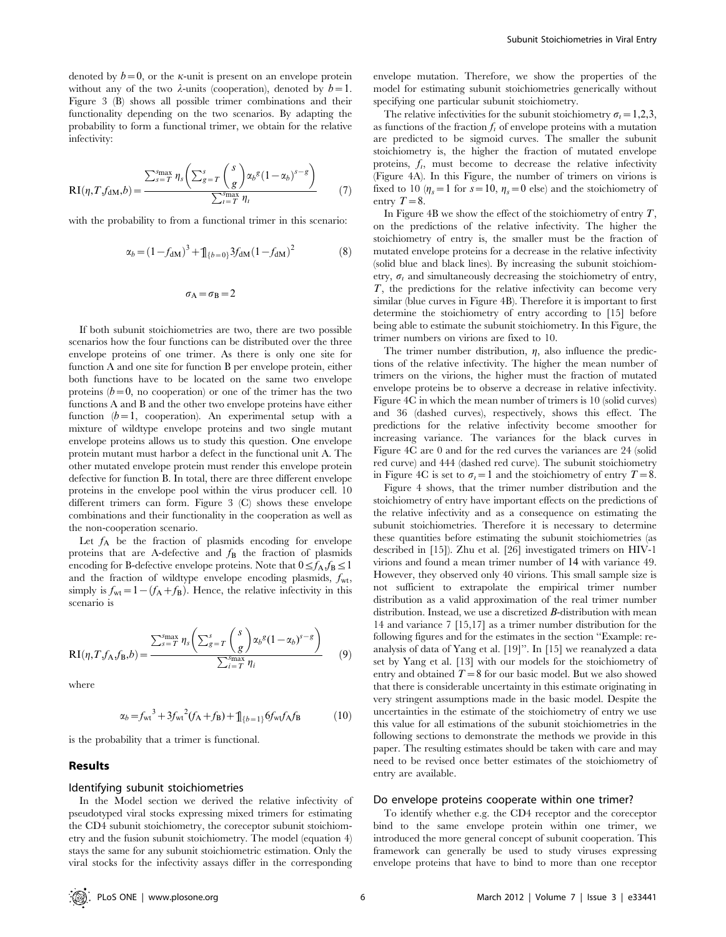denoted by  $b=0$ , or the *k*-unit is present on an envelope protein without any of the two  $\lambda$ -units (cooperation), denoted by  $b=1$ . Figure 3 (B) shows all possible trimer combinations and their functionality depending on the two scenarios. By adapting the probability to form a functional trimer, we obtain for the relative infectivity:

$$
RI(\eta, T, f_{\text{dM}}, b) = \frac{\sum_{s=T}^{s_{\text{max}}} \eta_s \left( \sum_{g=T}^{s} \binom{s}{g} \alpha_b^g (1 - \alpha_b)^{s - g}}{\sum_{i=T}^{s_{\text{max}}} \eta_i} \tag{7}
$$

with the probability to from a functional trimer in this scenario:

$$
\alpha_b = (1 - f_{\text{dM}})^3 + \mathbb{1}_{\{b=0\}} 3f_{\text{dM}} (1 - f_{\text{dM}})^2 \tag{8}
$$

$$
\sigma_{\rm A}=\sigma_{\rm B}=2
$$

If both subunit stoichiometries are two, there are two possible scenarios how the four functions can be distributed over the three envelope proteins of one trimer. As there is only one site for function A and one site for function B per envelope protein, either both functions have to be located on the same two envelope proteins  $(b=0, no cooperation)$  or one of the trimer has the two functions A and B and the other two envelope proteins have either function  $(b=1,$  cooperation). An experimental setup with a mixture of wildtype envelope proteins and two single mutant envelope proteins allows us to study this question. One envelope protein mutant must harbor a defect in the functional unit A. The other mutated envelope protein must render this envelope protein defective for function B. In total, there are three different envelope proteins in the envelope pool within the virus producer cell. 10 different trimers can form. Figure 3 (C) shows these envelope combinations and their functionality in the cooperation as well as the non-cooperation scenario.

Let  $f_A$  be the fraction of plasmids encoding for envelope proteins that are A-defective and  $f_{\rm B}$  the fraction of plasmids encoding for B-defective envelope proteins. Note that  $0 \le f_A$ ,  $f_B \le 1$ and the fraction of wildtype envelope encoding plasmids,  $f_{\rm wt}$ , simply is  $f_{\rm wt} = 1 - (f_{\rm A} + f_{\rm B})$ . Hence, the relative infectivity in this scenario is

$$
RI(\eta, Tf_A, f_B, b) = \frac{\sum_{s=T}^{s_{\text{max}}} \eta_s \left( \sum_{g=T}^s \binom{s}{g} \alpha_b^g (1 - \alpha_b)^{s - g} \right)}{\sum_{i=T}^{s_{\text{max}}} \eta_i} \tag{9}
$$

where

$$
\alpha_b = f_{\rm wt}^3 + 3f_{\rm wt}^2(f_A + f_B) + \mathbb{1}_{\{b=1\}} 6f_{\rm wt} f_A f_B \tag{10}
$$

is the probability that a trimer is functional.

#### Results

#### Identifying subunit stoichiometries

In the Model section we derived the relative infectivity of pseudotyped viral stocks expressing mixed trimers for estimating the CD4 subunit stoichiometry, the coreceptor subunit stoichiometry and the fusion subunit stoichiometry. The model (equation 4) stays the same for any subunit stoichiometric estimation. Only the viral stocks for the infectivity assays differ in the corresponding envelope mutation. Therefore, we show the properties of the model for estimating subunit stoichiometries generically without specifying one particular subunit stoichiometry.

The relative infectivities for the subunit stoichiometry  $\sigma_i = 1,2,3$ , as functions of the fraction  $f_i$  of envelope proteins with a mutation are predicted to be sigmoid curves. The smaller the subunit stoichiometry is, the higher the fraction of mutated envelope proteins,  $f_i$ , must become to decrease the relative infectivity (Figure 4A). In this Figure, the number of trimers on virions is fixed to 10 ( $\eta_s = 1$  for  $s = 10$ ,  $\eta_s = 0$  else) and the stoichiometry of entry  $T=8$ .

In Figure 4B we show the effect of the stoichiometry of entry  $T$ , on the predictions of the relative infectivity. The higher the stoichiometry of entry is, the smaller must be the fraction of mutated envelope proteins for a decrease in the relative infectivity (solid blue and black lines). By increasing the subunit stoichiometry,  $\sigma_i$  and simultaneously decreasing the stoichiometry of entry, T, the predictions for the relative infectivity can become very similar (blue curves in Figure 4B). Therefore it is important to first determine the stoichiometry of entry according to [15] before being able to estimate the subunit stoichiometry. In this Figure, the trimer numbers on virions are fixed to 10.

The trimer number distribution,  $\eta$ , also influence the predictions of the relative infectivity. The higher the mean number of trimers on the virions, the higher must the fraction of mutated envelope proteins be to observe a decrease in relative infectivity. Figure 4C in which the mean number of trimers is 10 (solid curves) and 36 (dashed curves), respectively, shows this effect. The predictions for the relative infectivity become smoother for increasing variance. The variances for the black curves in Figure 4C are 0 and for the red curves the variances are 24 (solid red curve) and 444 (dashed red curve). The subunit stoichiometry in Figure 4C is set to  $\sigma_l = 1$  and the stoichiometry of entry  $T = 8$ .

Figure 4 shows, that the trimer number distribution and the stoichiometry of entry have important effects on the predictions of the relative infectivity and as a consequence on estimating the subunit stoichiometries. Therefore it is necessary to determine these quantities before estimating the subunit stoichiometries (as described in [15]). Zhu et al. [26] investigated trimers on HIV-1 virions and found a mean trimer number of 14 with variance 49. However, they observed only 40 virions. This small sample size is not sufficient to extrapolate the empirical trimer number distribution as a valid approximation of the real trimer number distribution. Instead, we use a discretized **B**-distribution with mean 14 and variance 7 [15,17] as a trimer number distribution for the following figures and for the estimates in the section ''Example: reanalysis of data of Yang et al. [19]''. In [15] we reanalyzed a data set by Yang et al. [13] with our models for the stoichiometry of entry and obtained  $T=8$  for our basic model. But we also showed that there is considerable uncertainty in this estimate originating in very stringent assumptions made in the basic model. Despite the uncertainties in the estimate of the stoichiometry of entry we use this value for all estimations of the subunit stoichiometries in the following sections to demonstrate the methods we provide in this paper. The resulting estimates should be taken with care and may need to be revised once better estimates of the stoichiometry of entry are available.

#### Do envelope proteins cooperate within one trimer?

To identify whether e.g. the CD4 receptor and the coreceptor bind to the same envelope protein within one trimer, we introduced the more general concept of subunit cooperation. This framework can generally be used to study viruses expressing envelope proteins that have to bind to more than one receptor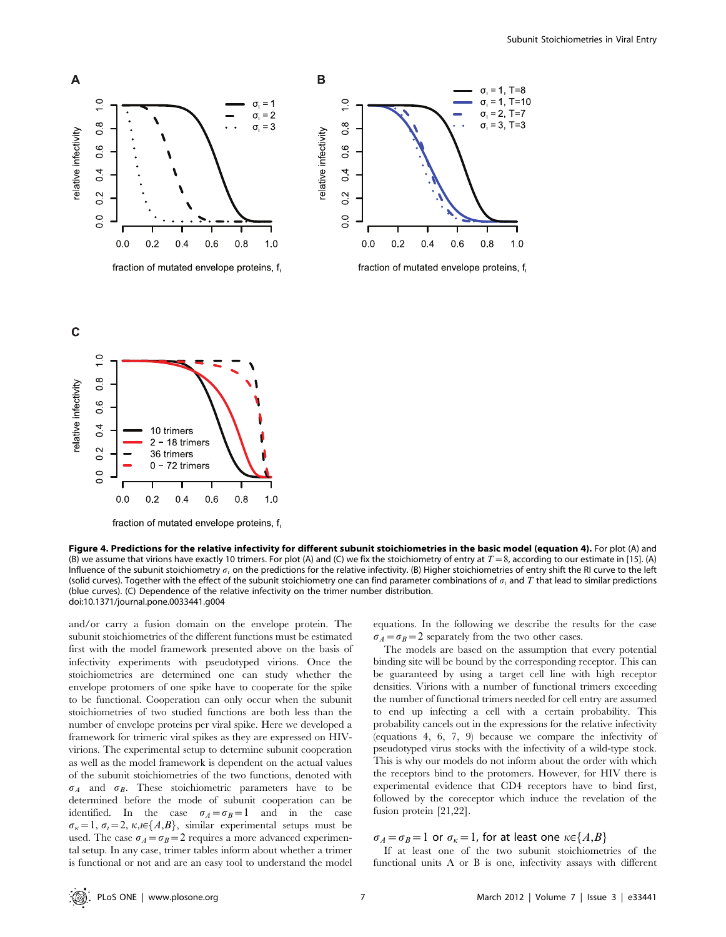



fraction of mutated envelope proteins, f

Figure 4. Predictions for the relative infectivity for different subunit stoichiometries in the basic model (equation 4). For plot (A) and (B) we assume that virions have exactly 10 trimers. For plot (A) and (C) we fix the stoichiometry of entry at  $T=8$ , according to our estimate in [15]. (A) Influence of the subunit stoichiometry  $\sigma_i$  on the predictions for the relative infectivity. (B) Higher stoichiometries of entry shift the RI curve to the left (solid curves). Together with the effect of the subunit stoichiometry one can find parameter combinations of  $\sigma_i$  and T that lead to similar predictions (blue curves). (C) Dependence of the relative infectivity on the trimer number distribution. doi:10.1371/journal.pone.0033441.g004

and/or carry a fusion domain on the envelope protein. The subunit stoichiometries of the different functions must be estimated first with the model framework presented above on the basis of infectivity experiments with pseudotyped virions. Once the stoichiometries are determined one can study whether the envelope protomers of one spike have to cooperate for the spike to be functional. Cooperation can only occur when the subunit stoichiometries of two studied functions are both less than the number of envelope proteins per viral spike. Here we developed a framework for trimeric viral spikes as they are expressed on HIVvirions. The experimental setup to determine subunit cooperation as well as the model framework is dependent on the actual values of the subunit stoichiometries of the two functions, denoted with  $\sigma_A$  and  $\sigma_B$ . These stoichiometric parameters have to be determined before the mode of subunit cooperation can be identified. In the case  $\sigma_A = \sigma_B = 1$  and in the case  $\sigma_{\kappa}=1$ ,  $\sigma_{\iota}=2$ ,  $\kappa$ , $\iota\in\{A,B\}$ , similar experimental setups must be used. The case  $\sigma_A = \sigma_B = 2$  requires a more advanced experimental setup. In any case, trimer tables inform about whether a trimer is functional or not and are an easy tool to understand the model equations. In the following we describe the results for the case  $\sigma_A = \sigma_B = 2$  separately from the two other cases.

The models are based on the assumption that every potential binding site will be bound by the corresponding receptor. This can be guaranteed by using a target cell line with high receptor densities. Virions with a number of functional trimers exceeding the number of functional trimers needed for cell entry are assumed to end up infecting a cell with a certain probability. This probability cancels out in the expressions for the relative infectivity (equations 4, 6, 7, 9) because we compare the infectivity of pseudotyped virus stocks with the infectivity of a wild-type stock. This is why our models do not inform about the order with which the receptors bind to the protomers. However, for HIV there is experimental evidence that CD4 receptors have to bind first, followed by the coreceptor which induce the revelation of the fusion protein [21,22].

#### $\sigma_A = \sigma_B = 1$  or  $\sigma_k = 1$ , for at least one  $\kappa \in \{A,B\}$

If at least one of the two subunit stoichiometries of the functional units A or B is one, infectivity assays with different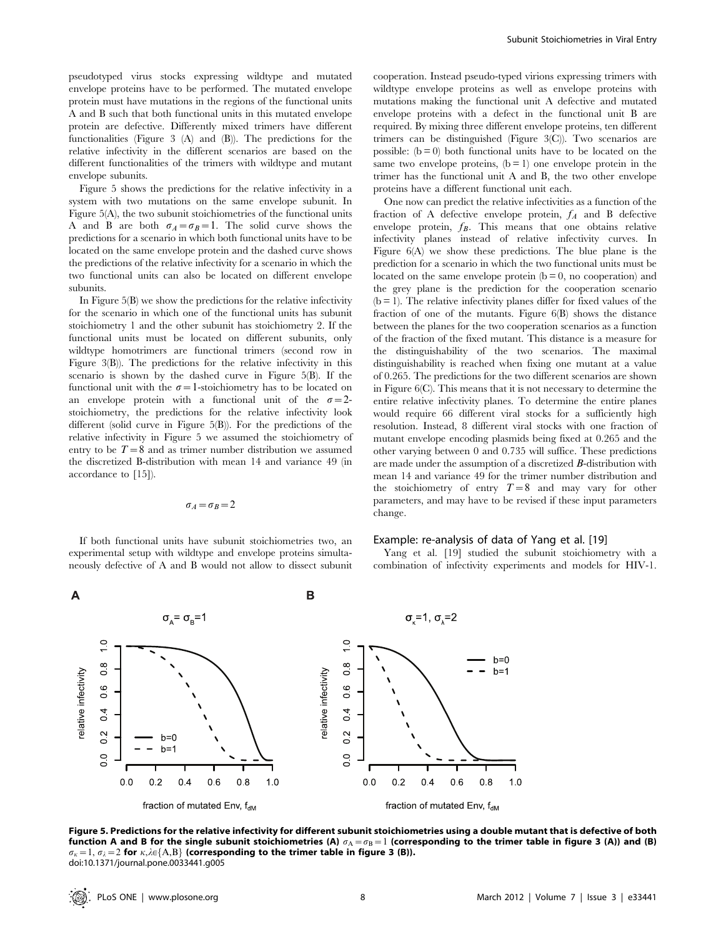pseudotyped virus stocks expressing wildtype and mutated envelope proteins have to be performed. The mutated envelope protein must have mutations in the regions of the functional units A and B such that both functional units in this mutated envelope protein are defective. Differently mixed trimers have different functionalities (Figure 3 (A) and (B)). The predictions for the relative infectivity in the different scenarios are based on the different functionalities of the trimers with wildtype and mutant envelope subunits.

Figure 5 shows the predictions for the relative infectivity in a system with two mutations on the same envelope subunit. In Figure 5(A), the two subunit stoichiometries of the functional units A and B are both  $\sigma_A = \sigma_B = 1$ . The solid curve shows the predictions for a scenario in which both functional units have to be located on the same envelope protein and the dashed curve shows the predictions of the relative infectivity for a scenario in which the two functional units can also be located on different envelope subunits.

In Figure 5(B) we show the predictions for the relative infectivity for the scenario in which one of the functional units has subunit stoichiometry 1 and the other subunit has stoichiometry 2. If the functional units must be located on different subunits, only wildtype homotrimers are functional trimers (second row in Figure 3(B)). The predictions for the relative infectivity in this scenario is shown by the dashed curve in Figure 5(B). If the functional unit with the  $\sigma=1$ -stoichiometry has to be located on an envelope protein with a functional unit of the  $\sigma=2$ stoichiometry, the predictions for the relative infectivity look different (solid curve in Figure 5(B)). For the predictions of the relative infectivity in Figure 5 we assumed the stoichiometry of entry to be  $T=8$  and as trimer number distribution we assumed the discretized B-distribution with mean 14 and variance 49 (in accordance to [15]).

#### $\sigma_A=\sigma_B=2$

If both functional units have subunit stoichiometries two, an experimental setup with wildtype and envelope proteins simultaneously defective of A and B would not allow to dissect subunit cooperation. Instead pseudo-typed virions expressing trimers with wildtype envelope proteins as well as envelope proteins with mutations making the functional unit A defective and mutated envelope proteins with a defect in the functional unit B are required. By mixing three different envelope proteins, ten different trimers can be distinguished (Figure 3(C)). Two scenarios are possible:  $(b = 0)$  both functional units have to be located on the same two envelope proteins,  $(b = 1)$  one envelope protein in the trimer has the functional unit A and B, the two other envelope proteins have a different functional unit each.

One now can predict the relative infectivities as a function of the fraction of A defective envelope protein,  $f_A$  and B defective envelope protein,  $f_B$ . This means that one obtains relative infectivity planes instead of relative infectivity curves. In Figure 6(A) we show these predictions. The blue plane is the prediction for a scenario in which the two functional units must be located on the same envelope protein  $(b = 0, no cooperation)$  and the grey plane is the prediction for the cooperation scenario  $(b = 1)$ . The relative infectivity planes differ for fixed values of the fraction of one of the mutants. Figure 6(B) shows the distance between the planes for the two cooperation scenarios as a function of the fraction of the fixed mutant. This distance is a measure for the distinguishability of the two scenarios. The maximal distinguishability is reached when fixing one mutant at a value of 0.265. The predictions for the two different scenarios are shown in Figure 6(C). This means that it is not necessary to determine the entire relative infectivity planes. To determine the entire planes would require 66 different viral stocks for a sufficiently high resolution. Instead, 8 different viral stocks with one fraction of mutant envelope encoding plasmids being fixed at 0.265 and the other varying between 0 and 0.735 will suffice. These predictions are made under the assumption of a discretized B-distribution with mean 14 and variance 49 for the trimer number distribution and the stoichiometry of entry  $T=8$  and may vary for other parameters, and may have to be revised if these input parameters change.

#### Example: re-analysis of data of Yang et al. [19]

Yang et al. [19] studied the subunit stoichiometry with a combination of infectivity experiments and models for HIV-1.



Figure 5. Predictions for the relative infectivity for different subunit stoichiometries using a double mutant that is defective of both function A and B for the single subunit stoichiometries (A)  $\sigma_A=\sigma_B=1$  (corresponding to the trimer table in figure 3 (A)) and (B)  $\sigma_k=1, \sigma_k=2$  for  $\kappa,\lambda\in\{A,B\}$  (corresponding to the trimer table in figure 3 (B)). doi:10.1371/journal.pone.0033441.g005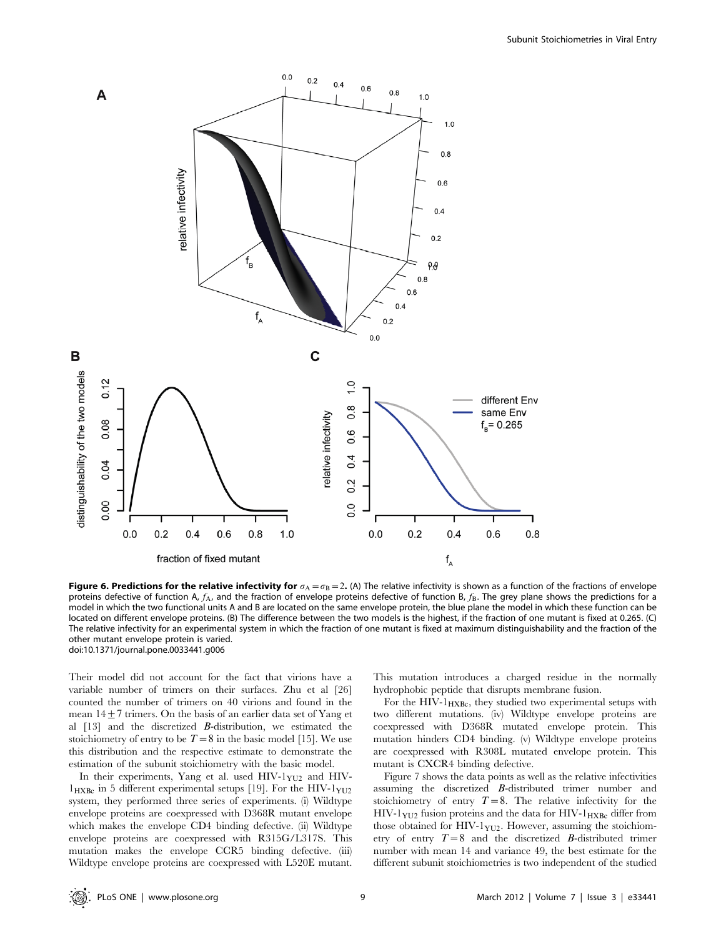

**Figure 6. Predictions for the relative infectivity for**  $\sigma_A = \sigma_B = 2$ . (A) The relative infectivity is shown as a function of the fractions of envelope proteins defective of function A,  $f_A$ , and the fraction of envelope proteins defective of function B,  $f_B$ . The grey plane shows the predictions for a model in which the two functional units A and B are located on the same envelope protein, the blue plane the model in which these function can be located on different envelope proteins. (B) The difference between the two models is the highest, if the fraction of one mutant is fixed at 0.265. (C) The relative infectivity for an experimental system in which the fraction of one mutant is fixed at maximum distinguishability and the fraction of the other mutant envelope protein is varied. doi:10.1371/journal.pone.0033441.g006

Their model did not account for the fact that virions have a variable number of trimers on their surfaces. Zhu et al [26] counted the number of trimers on 40 virions and found in the mean  $14+7$  trimers. On the basis of an earlier data set of Yang et al [13] and the discretized B-distribution, we estimated the stoichiometry of entry to be  $T=8$  in the basic model [15]. We use this distribution and the respective estimate to demonstrate the estimation of the subunit stoichiometry with the basic model.

In their experiments, Yang et al. used  $HIV-1<sub>YU2</sub>$  and  $HIV-1<sub>YU2</sub>$  $1_{\text{HXBc}}$  in 5 different experimental setups [19]. For the HIV- $1_{\text{YU2}}$ system, they performed three series of experiments. (i) Wildtype envelope proteins are coexpressed with D368R mutant envelope which makes the envelope CD4 binding defective. (ii) Wildtype envelope proteins are coexpressed with R315G/L317S. This mutation makes the envelope CCR5 binding defective. (iii) Wildtype envelope proteins are coexpressed with L520E mutant.

This mutation introduces a charged residue in the normally hydrophobic peptide that disrupts membrane fusion.

For the HIV- $1_{\text{HXBc}}$ , they studied two experimental setups with two different mutations. (iv) Wildtype envelope proteins are coexpressed with D368R mutated envelope protein. This mutation hinders CD4 binding. (v) Wildtype envelope proteins are coexpressed with R308L mutated envelope protein. This mutant is CXCR4 binding defective.

Figure 7 shows the data points as well as the relative infectivities assuming the discretized B-distributed trimer number and stoichiometry of entry  $T=8$ . The relative infectivity for the  $HIV-1<sub>YU2</sub>$  fusion proteins and the data for  $HIV-1<sub>HXBC</sub>$  differ from those obtained for HIV-1 $_{\text{YU2}}$ . However, assuming the stoichiometry of entry  $T=8$  and the discretized B-distributed trimer number with mean 14 and variance 49, the best estimate for the different subunit stoichiometries is two independent of the studied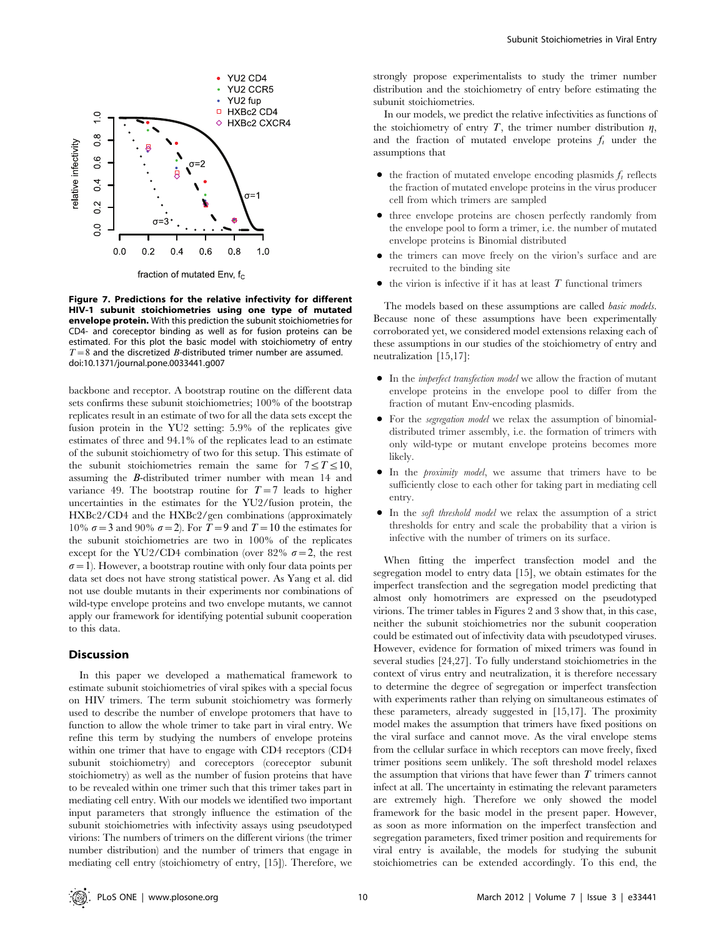

fraction of mutated Env,  $f_c$ 

Figure 7. Predictions for the relative infectivity for different HIV-1 subunit stoichiometries using one type of mutated envelope protein. With this prediction the subunit stoichiometries for CD4- and coreceptor binding as well as for fusion proteins can be estimated. For this plot the basic model with stoichiometry of entry  $T=8$  and the discretized *B*-distributed trimer number are assumed. doi:10.1371/journal.pone.0033441.g007

backbone and receptor. A bootstrap routine on the different data sets confirms these subunit stoichiometries; 100% of the bootstrap replicates result in an estimate of two for all the data sets except the fusion protein in the YU2 setting: 5.9% of the replicates give estimates of three and 94.1% of the replicates lead to an estimate of the subunit stoichiometry of two for this setup. This estimate of the subunit stoichiometries remain the same for  $7 \le T \le 10$ , assuming the B-distributed trimer number with mean 14 and variance 49. The bootstrap routine for  $T=7$  leads to higher uncertainties in the estimates for the YU2/fusion protein, the HXBc2/CD4 and the HXBc2/gen combinations (approximately 10%  $\sigma$  = 3 and 90%  $\sigma$  = 2). For T = 9 and T = 10 the estimates for the subunit stoichiometries are two in 100% of the replicates except for the YU2/CD4 combination (over 82%  $\sigma = 2$ , the rest  $\sigma$  = 1). However, a bootstrap routine with only four data points per data set does not have strong statistical power. As Yang et al. did not use double mutants in their experiments nor combinations of wild-type envelope proteins and two envelope mutants, we cannot apply our framework for identifying potential subunit cooperation to this data.

#### **Discussion**

In this paper we developed a mathematical framework to estimate subunit stoichiometries of viral spikes with a special focus on HIV trimers. The term subunit stoichiometry was formerly used to describe the number of envelope protomers that have to function to allow the whole trimer to take part in viral entry. We refine this term by studying the numbers of envelope proteins within one trimer that have to engage with CD4 receptors (CD4 subunit stoichiometry) and coreceptors (coreceptor subunit stoichiometry) as well as the number of fusion proteins that have to be revealed within one trimer such that this trimer takes part in mediating cell entry. With our models we identified two important input parameters that strongly influence the estimation of the subunit stoichiometries with infectivity assays using pseudotyped virions: The numbers of trimers on the different virions (the trimer number distribution) and the number of trimers that engage in mediating cell entry (stoichiometry of entry, [15]). Therefore, we

strongly propose experimentalists to study the trimer number distribution and the stoichiometry of entry before estimating the subunit stoichiometries.

In our models, we predict the relative infectivities as functions of the stoichiometry of entry  $T$ , the trimer number distribution  $\eta$ , and the fraction of mutated envelope proteins  $f_i$  under the assumptions that

- $\bullet$  the fraction of mutated envelope encoding plasmids  $f_i$  reflects the fraction of mutated envelope proteins in the virus producer cell from which trimers are sampled
- three envelope proteins are chosen perfectly randomly from the envelope pool to form a trimer, i.e. the number of mutated envelope proteins is Binomial distributed
- the trimers can move freely on the virion's surface and are recruited to the binding site
- $\bullet$  the virion is infective if it has at least T functional trimers

The models based on these assumptions are called *basic models*. Because none of these assumptions have been experimentally corroborated yet, we considered model extensions relaxing each of these assumptions in our studies of the stoichiometry of entry and neutralization [15,17]:

- In the *imperfect transfection model* we allow the fraction of mutant envelope proteins in the envelope pool to differ from the fraction of mutant Env-encoding plasmids.
- For the *segregation model* we relax the assumption of binomialdistributed trimer assembly, i.e. the formation of trimers with only wild-type or mutant envelope proteins becomes more likely.
- $\bullet$  In the *proximity model*, we assume that trimers have to be sufficiently close to each other for taking part in mediating cell entry.
- $\bullet$  In the *soft threshold model* we relax the assumption of a strict thresholds for entry and scale the probability that a virion is infective with the number of trimers on its surface.

When fitting the imperfect transfection model and the segregation model to entry data [15], we obtain estimates for the imperfect transfection and the segregation model predicting that almost only homotrimers are expressed on the pseudotyped virions. The trimer tables in Figures 2 and 3 show that, in this case, neither the subunit stoichiometries nor the subunit cooperation could be estimated out of infectivity data with pseudotyped viruses. However, evidence for formation of mixed trimers was found in several studies [24,27]. To fully understand stoichiometries in the context of virus entry and neutralization, it is therefore necessary to determine the degree of segregation or imperfect transfection with experiments rather than relying on simultaneous estimates of these parameters, already suggested in [15,17]. The proximity model makes the assumption that trimers have fixed positions on the viral surface and cannot move. As the viral envelope stems from the cellular surface in which receptors can move freely, fixed trimer positions seem unlikely. The soft threshold model relaxes the assumption that virions that have fewer than  $T$  trimers cannot infect at all. The uncertainty in estimating the relevant parameters are extremely high. Therefore we only showed the model framework for the basic model in the present paper. However, as soon as more information on the imperfect transfection and segregation parameters, fixed trimer position and requirements for viral entry is available, the models for studying the subunit stoichiometries can be extended accordingly. To this end, the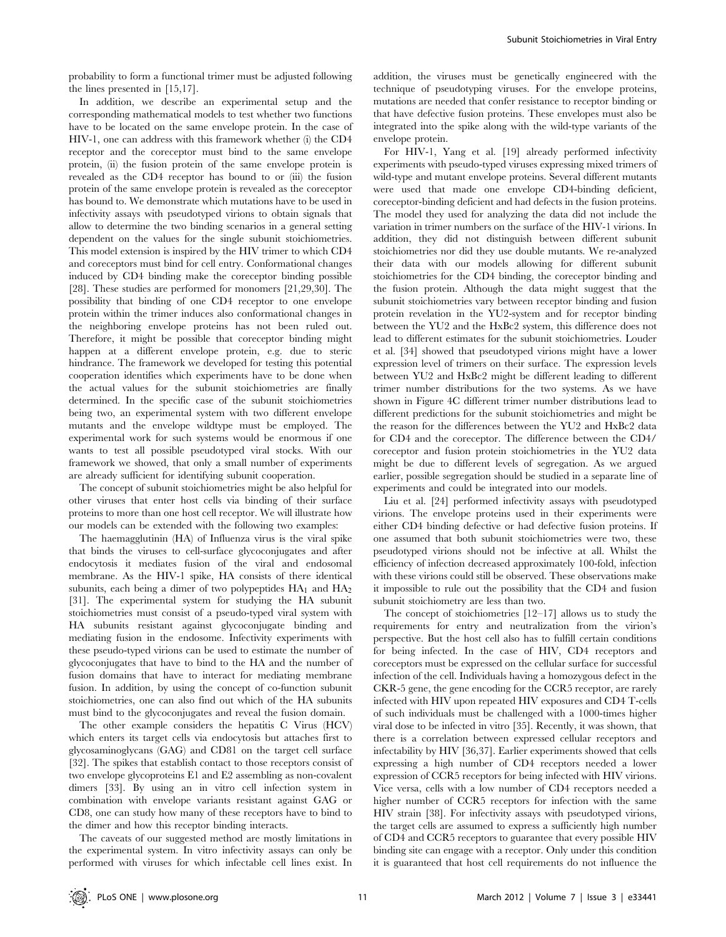probability to form a functional trimer must be adjusted following the lines presented in [15,17].

In addition, we describe an experimental setup and the corresponding mathematical models to test whether two functions have to be located on the same envelope protein. In the case of HIV-1, one can address with this framework whether (i) the CD4 receptor and the coreceptor must bind to the same envelope protein, (ii) the fusion protein of the same envelope protein is revealed as the CD4 receptor has bound to or (iii) the fusion protein of the same envelope protein is revealed as the coreceptor has bound to. We demonstrate which mutations have to be used in infectivity assays with pseudotyped virions to obtain signals that allow to determine the two binding scenarios in a general setting dependent on the values for the single subunit stoichiometries. This model extension is inspired by the HIV trimer to which CD4 and coreceptors must bind for cell entry. Conformational changes induced by CD4 binding make the coreceptor binding possible [28]. These studies are performed for monomers [21,29,30]. The possibility that binding of one CD4 receptor to one envelope protein within the trimer induces also conformational changes in the neighboring envelope proteins has not been ruled out. Therefore, it might be possible that coreceptor binding might happen at a different envelope protein, e.g. due to steric hindrance. The framework we developed for testing this potential cooperation identifies which experiments have to be done when the actual values for the subunit stoichiometries are finally determined. In the specific case of the subunit stoichiometries being two, an experimental system with two different envelope mutants and the envelope wildtype must be employed. The experimental work for such systems would be enormous if one wants to test all possible pseudotyped viral stocks. With our framework we showed, that only a small number of experiments are already sufficient for identifying subunit cooperation.

The concept of subunit stoichiometries might be also helpful for other viruses that enter host cells via binding of their surface proteins to more than one host cell receptor. We will illustrate how our models can be extended with the following two examples:

The haemagglutinin (HA) of Influenza virus is the viral spike that binds the viruses to cell-surface glycoconjugates and after endocytosis it mediates fusion of the viral and endosomal membrane. As the HIV-1 spike, HA consists of there identical subunits, each being a dimer of two polypeptides  $HA_1$  and  $HA_2$ [31]. The experimental system for studying the HA subunit stoichiometries must consist of a pseudo-typed viral system with HA subunits resistant against glycoconjugate binding and mediating fusion in the endosome. Infectivity experiments with these pseudo-typed virions can be used to estimate the number of glycoconjugates that have to bind to the HA and the number of fusion domains that have to interact for mediating membrane fusion. In addition, by using the concept of co-function subunit stoichiometries, one can also find out which of the HA subunits must bind to the glycoconjugates and reveal the fusion domain.

The other example considers the hepatitis C Virus (HCV) which enters its target cells via endocytosis but attaches first to glycosaminoglycans (GAG) and CD81 on the target cell surface [32]. The spikes that establish contact to those receptors consist of two envelope glycoproteins E1 and E2 assembling as non-covalent dimers [33]. By using an in vitro cell infection system in combination with envelope variants resistant against GAG or CD8, one can study how many of these receptors have to bind to the dimer and how this receptor binding interacts.

The caveats of our suggested method are mostly limitations in the experimental system. In vitro infectivity assays can only be performed with viruses for which infectable cell lines exist. In

addition, the viruses must be genetically engineered with the technique of pseudotyping viruses. For the envelope proteins, mutations are needed that confer resistance to receptor binding or that have defective fusion proteins. These envelopes must also be integrated into the spike along with the wild-type variants of the envelope protein.

For HIV-1, Yang et al. [19] already performed infectivity experiments with pseudo-typed viruses expressing mixed trimers of wild-type and mutant envelope proteins. Several different mutants were used that made one envelope CD4-binding deficient, coreceptor-binding deficient and had defects in the fusion proteins. The model they used for analyzing the data did not include the variation in trimer numbers on the surface of the HIV-1 virions. In addition, they did not distinguish between different subunit stoichiometries nor did they use double mutants. We re-analyzed their data with our models allowing for different subunit stoichiometries for the CD4 binding, the coreceptor binding and the fusion protein. Although the data might suggest that the subunit stoichiometries vary between receptor binding and fusion protein revelation in the YU2-system and for receptor binding between the YU2 and the HxBc2 system, this difference does not lead to different estimates for the subunit stoichiometries. Louder et al. [34] showed that pseudotyped virions might have a lower expression level of trimers on their surface. The expression levels between YU2 and HxBc2 might be different leading to different trimer number distributions for the two systems. As we have shown in Figure 4C different trimer number distributions lead to different predictions for the subunit stoichiometries and might be the reason for the differences between the YU2 and HxBc2 data for CD4 and the coreceptor. The difference between the CD4/ coreceptor and fusion protein stoichiometries in the YU2 data might be due to different levels of segregation. As we argued earlier, possible segregation should be studied in a separate line of experiments and could be integrated into our models.

Liu et al. [24] performed infectivity assays with pseudotyped virions. The envelope proteins used in their experiments were either CD4 binding defective or had defective fusion proteins. If one assumed that both subunit stoichiometries were two, these pseudotyped virions should not be infective at all. Whilst the efficiency of infection decreased approximately 100-fold, infection with these virions could still be observed. These observations make it impossible to rule out the possibility that the CD4 and fusion subunit stoichiometry are less than two.

The concept of stoichiometries [12–17] allows us to study the requirements for entry and neutralization from the virion's perspective. But the host cell also has to fulfill certain conditions for being infected. In the case of HIV, CD4 receptors and coreceptors must be expressed on the cellular surface for successful infection of the cell. Individuals having a homozygous defect in the CKR-5 gene, the gene encoding for the CCR5 receptor, are rarely infected with HIV upon repeated HIV exposures and CD4 T-cells of such individuals must be challenged with a 1000-times higher viral dose to be infected in vitro [35]. Recently, it was shown, that there is a correlation between expressed cellular receptors and infectability by HIV [36,37]. Earlier experiments showed that cells expressing a high number of CD4 receptors needed a lower expression of CCR5 receptors for being infected with HIV virions. Vice versa, cells with a low number of CD4 receptors needed a higher number of CCR5 receptors for infection with the same HIV strain [38]. For infectivity assays with pseudotyped virions, the target cells are assumed to express a sufficiently high number of CD4 and CCR5 receptors to guarantee that every possible HIV binding site can engage with a receptor. Only under this condition it is guaranteed that host cell requirements do not influence the